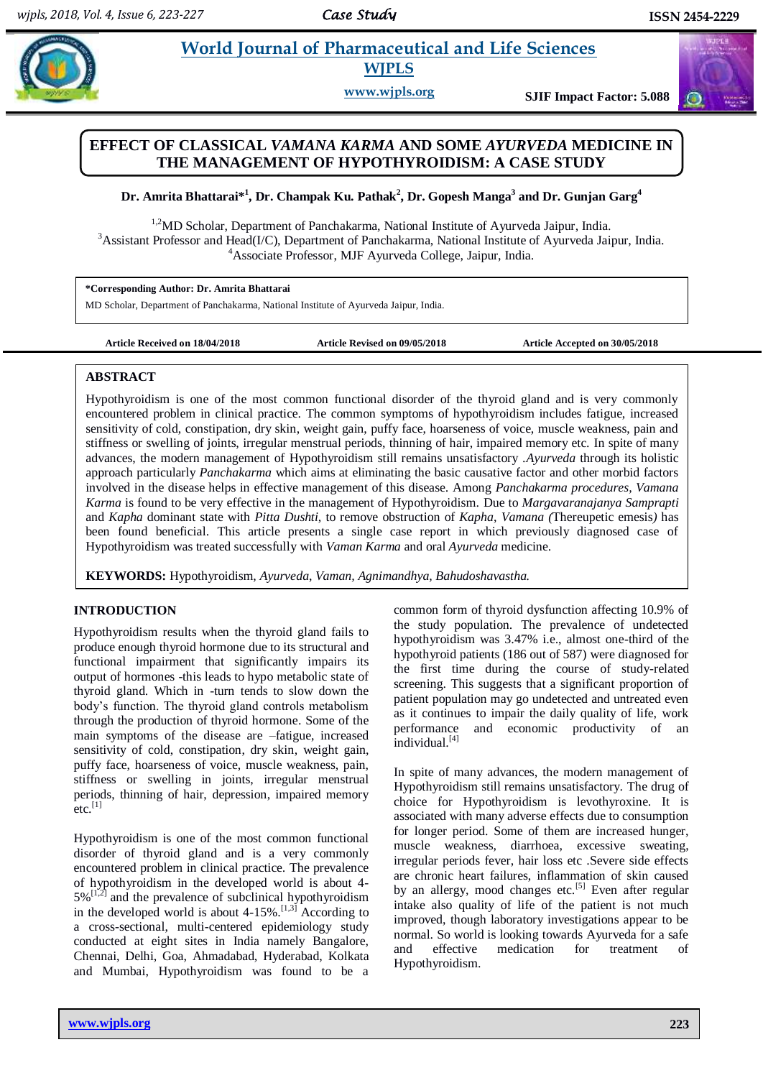# **Pharmaceutical and Life Sciences WJPLS**

**www.wjpls.org SJIF Impact Factor: 5.088**

## **EFFECT OF CLASSICAL** *VAMANA KARMA* **AND SOME** *AYURVEDA* **MEDICINE IN THE MANAGEMENT OF HYPOTHYROIDISM: A CASE STUDY**

**Dr. Amrita Bhattarai\* 1 , Dr. Champak Ku. Pathak<sup>2</sup> , Dr. Gopesh Manga<sup>3</sup> and Dr. Gunjan Garg<sup>4</sup>**

<sup>1,2</sup>MD Scholar, Department of Panchakarma, National Institute of Ayurveda Jaipur, India. <sup>3</sup>Assistant Professor and Head(I/C), Department of Panchakarma, National Institute of Ayurveda Jaipur, India. <sup>4</sup>Associate Professor, MJF Ayurveda College, Jaipur, India.

**\*Corresponding Author: Dr. Amrita Bhattarai** MD Scholar, Department of Panchakarma, National Institute of Ayurveda Jaipur, India.

**Article Received on 18/04/2018 Article Revised on 09/05/2018 Article Accepted on 30/05/2018**

## **ABSTRACT**

Hypothyroidism is one of the most common functional disorder of the thyroid gland and is very commonly encountered problem in clinical practice. The common symptoms of hypothyroidism includes fatigue, increased sensitivity of cold, constipation, dry skin, weight gain, puffy face, hoarseness of voice, muscle weakness, pain and stiffness or swelling of joints, irregular menstrual periods, thinning of hair, impaired memory etc. In spite of many advances, the modern management of Hypothyroidism still remains unsatisfactory .*Ayurveda* through its holistic approach particularly *Panchakarma* which aims at eliminating the basic causative factor and other morbid factors involved in the disease helps in effective management of this disease. Among *Panchakarma procedures, Vamana Karma* is found to be very effective in the management of Hypothyroidism. Due to *Margavaranajanya Samprapti* and *Kapha* dominant state with *Pitta Dushti*, to remove obstruction of *Kapha*, *Vamana (*Thereupetic emesis*)* has been found beneficial. This article presents a single case report in which previously diagnosed case of Hypothyroidism was treated successfully with *Vaman Karma* and oral *Ayurveda* medicine.

**KEYWORDS:** Hypothyroidism, *Ayurveda*, *Vaman, Agnimandhya, Bahudoshavastha.*

## **INTRODUCTION**

Hypothyroidism results when the thyroid gland fails to produce enough thyroid hormone due to its structural and functional impairment that significantly impairs its output of hormones -this leads to hypo metabolic state of thyroid gland. Which in -turn tends to slow down the body's function. The thyroid gland controls metabolism through the production of thyroid hormone. Some of the main symptoms of the disease are –fatigue, increased sensitivity of cold, constipation, dry skin, weight gain, puffy face, hoarseness of voice, muscle weakness, pain, stiffness or swelling in joints, irregular menstrual periods, thinning of hair, depression, impaired memory  $etc.$ <sup>[1]</sup>

Hypothyroidism is one of the most common functional disorder of thyroid gland and is a very commonly encountered problem in clinical practice. The prevalence of hypothyroidism in the developed world is about 4-  $5\%$ <sup>[1,2]</sup> and the prevalence of subclinical hypothyroidism in the developed world is about  $4-15\%$ .<sup>[1,3]</sup> According to a cross-sectional, multi-centered epidemiology study conducted at eight sites in India namely Bangalore, Chennai, Delhi, Goa, Ahmadabad, Hyderabad, Kolkata and Mumbai, Hypothyroidism was found to be a

common form of thyroid dysfunction affecting 10.9% of the study population. The prevalence of undetected hypothyroidism was 3.47% i.e., almost one-third of the hypothyroid patients (186 out of 587) were diagnosed for the first time during the course of study-related screening. This suggests that a significant proportion of patient population may go undetected and untreated even as it continues to impair the daily quality of life, work performance and economic productivity of an individual.<sup>[4]</sup>

In spite of many advances, the modern management of Hypothyroidism still remains unsatisfactory. The drug of choice for Hypothyroidism is levothyroxine. It is associated with many adverse effects due to consumption for longer period. Some of them are increased hunger, muscle weakness, diarrhoea, excessive sweating, irregular periods fever, hair loss etc .Severe side effects are chronic heart failures, inflammation of skin caused by an allergy, mood changes etc.<sup>[5]</sup> Even after regular intake also quality of life of the patient is not much improved, though laboratory investigations appear to be normal. So world is looking towards Ayurveda for a safe and effective medication for treatment of Hypothyroidism.

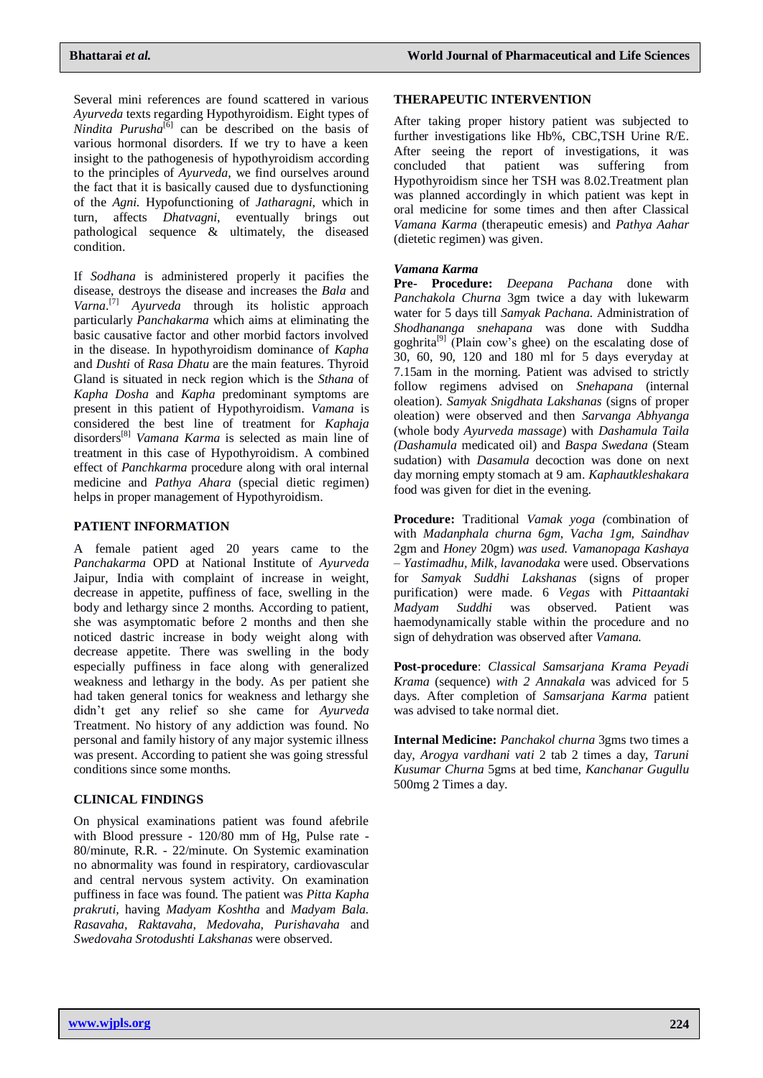Several mini references are found scattered in various *Ayurveda* texts regarding Hypothyroidism. Eight types of *Nindita Purusha*<sup>[6]</sup> can be described on the basis of various hormonal disorders. If we try to have a keen insight to the pathogenesis of hypothyroidism according to the principles of *Ayurveda*, we find ourselves around the fact that it is basically caused due to dysfunctioning of the *Agni*. Hypofunctioning of *Jatharagni*, which in turn, affects *Dhatvagni*, eventually brings out pathological sequence & ultimately, the diseased condition.

If *Sodhana* is administered properly it pacifies the disease, destroys the disease and increases the *Bala* and *Varna*. [7] *Ayurveda* through its holistic approach particularly *Panchakarma* which aims at eliminating the basic causative factor and other morbid factors involved in the disease. In hypothyroidism dominance of *Kapha* and *Dushti* of *Rasa Dhatu* are the main features. Thyroid Gland is situated in neck region which is the *Sthana* of *Kapha Dosha* and *Kapha* predominant symptoms are present in this patient of Hypothyroidism. *Vamana* is considered the best line of treatment for *Kaphaja* disorders[8] *Vamana Karma* is selected as main line of treatment in this case of Hypothyroidism. A combined effect of *Panchkarma* procedure along with oral internal medicine and *Pathya Ahara* (special dietic regimen) helps in proper management of Hypothyroidism.

## **PATIENT INFORMATION**

A female patient aged 20 years came to the *Panchakarma* OPD at National Institute of *Ayurveda* Jaipur, India with complaint of increase in weight, decrease in appetite, puffiness of face, swelling in the body and lethargy since 2 months. According to patient, she was asymptomatic before 2 months and then she noticed dastric increase in body weight along with decrease appetite. There was swelling in the body especially puffiness in face along with generalized weakness and lethargy in the body. As per patient she had taken general tonics for weakness and lethargy she didn't get any relief so she came for *Ayurveda* Treatment. No history of any addiction was found. No personal and family history of any major systemic illness was present. According to patient she was going stressful conditions since some months.

## **CLINICAL FINDINGS**

On physical examinations patient was found afebrile with Blood pressure - 120/80 mm of Hg, Pulse rate - 80/minute, R.R. - 22/minute. On Systemic examination no abnormality was found in respiratory, cardiovascular and central nervous system activity. On examination puffiness in face was found. The patient was *Pitta Kapha prakruti,* having *Madyam Koshtha* and *Madyam Bala. Rasavaha, Raktavaha, Medovaha, Purishavaha* and *Swedovaha Srotodushti Lakshanas* were observed.

## **THERAPEUTIC INTERVENTION**

After taking proper history patient was subjected to further investigations like Hb%, CBC,TSH Urine R/E. After seeing the report of investigations, it was concluded that patient was suffering from Hypothyroidism since her TSH was 8.02.Treatment plan was planned accordingly in which patient was kept in oral medicine for some times and then after Classical *Vamana Karma* (therapeutic emesis) and *Pathya Aahar*  (dietetic regimen) was given.

## *Vamana Karma*

**Pre- Procedure:** *Deepana Pachana* done with *Panchakola Churna* 3gm twice a day with lukewarm water for 5 days till *Samyak Pachana.* Administration of *Shodhananga snehapana* was done with Suddha goghrita<sup>[9]</sup> (Plain cow's ghee) on the escalating dose of 30, 60, 90, 120 and 180 ml for 5 days everyday at 7.15am in the morning. Patient was advised to strictly follow regimens advised on *Snehapana* (internal oleation). *Samyak Snigdhata Lakshanas* (signs of proper oleation) were observed and then *Sarvanga Abhyanga* (whole body *Ayurveda massage*) with *Dashamula Taila (Dashamula* medicated oil) and *Baspa Swedana* (Steam sudation) with *Dasamula* decoction was done on next day morning empty stomach at 9 am. *Kaphautkleshakara*  food was given for diet in the evening.

**Procedure:** Traditional *Vamak yoga (*combination of with *Madanphala churna 6gm, Vacha 1gm, Saindhav* 2gm and *Honey* 20gm) *was used. Vamanopaga Kashaya – Yastimadhu, Milk, lavanodaka* were used. Observations for *Samyak Suddhi Lakshanas* (signs of proper purification) were made. 6 *Vegas* with *Pittaantaki Madyam Suddhi* was observed. Patient was haemodynamically stable within the procedure and no sign of dehydration was observed after *Vamana.*

**Post-procedure**: *Classical Samsarjana Krama Peyadi Krama* (sequence) *with 2 Annakala* was adviced for 5 days. After completion of *Samsarjana Karma* patient was advised to take normal diet.

**Internal Medicine:** *Panchakol churna* 3gms two times a day, *Arogya vardhani vati* 2 tab 2 times a day, *Taruni Kusumar Churna* 5gms at bed time, *Kanchanar Gugullu* 500mg 2 Times a day.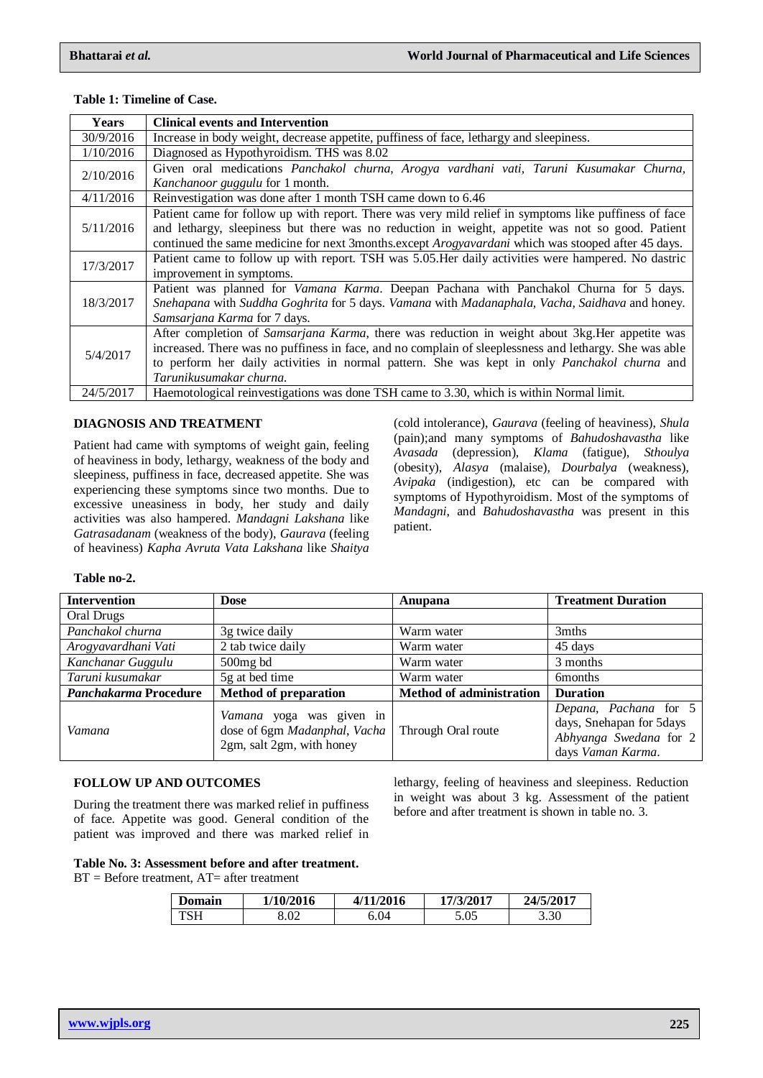| <b>Years</b> | <b>Clinical events and Intervention</b>                                                                                                                                                                                                                                                                                                     |
|--------------|---------------------------------------------------------------------------------------------------------------------------------------------------------------------------------------------------------------------------------------------------------------------------------------------------------------------------------------------|
| 30/9/2016    | Increase in body weight, decrease appetite, puffiness of face, lethargy and sleepiness.                                                                                                                                                                                                                                                     |
| 1/10/2016    | Diagnosed as Hypothyroidism. THS was 8.02                                                                                                                                                                                                                                                                                                   |
| 2/10/2016    | Given oral medications Panchakol churna, Arogya vardhani vati, Taruni Kusumakar Churna,<br>Kanchanoor guggulu for 1 month.                                                                                                                                                                                                                  |
| 4/11/2016    | Reinvestigation was done after 1 month TSH came down to 6.46                                                                                                                                                                                                                                                                                |
| 5/11/2016    | Patient came for follow up with report. There was very mild relief in symptoms like puffiness of face<br>and lethargy, sleepiness but there was no reduction in weight, appetite was not so good. Patient<br>continued the same medicine for next 3months.except Arogyavardani which was stooped after 45 days.                             |
| 17/3/2017    | Patient came to follow up with report. TSH was 5.05. Her daily activities were hampered. No dastric<br>improvement in symptoms.                                                                                                                                                                                                             |
| 18/3/2017    | Patient was planned for Vamana Karma. Deepan Pachana with Panchakol Churna for 5 days.<br>Snehapana with Suddha Goghrita for 5 days. Vamana with Madanaphala, Vacha, Saidhava and honey.<br><i>Samsarjana Karma for 7 days.</i>                                                                                                             |
| 5/4/2017     | After completion of Samsarjana Karma, there was reduction in weight about 3kg. Her appetite was<br>increased. There was no puffiness in face, and no complain of sleeplessness and lethargy. She was able<br>to perform her daily activities in normal pattern. She was kept in only <i>Panchakol churna</i> and<br>Tarunikusumakar churna. |
| 24/5/2017    | Haemotological reinvestigations was done TSH came to 3.30, which is within Normal limit.                                                                                                                                                                                                                                                    |

#### **Table 1: Timeline of Case.**

#### **DIAGNOSIS AND TREATMENT**

Patient had came with symptoms of weight gain, feeling of heaviness in body, lethargy, weakness of the body and sleepiness, puffiness in face, decreased appetite. She was experiencing these symptoms since two months. Due to excessive uneasiness in body, her study and daily activities was also hampered. *Mandagni Lakshana* like *Gatrasadanam* (weakness of the body), *Gaurava* (feeling of heaviness) *Kapha Avruta Vata Lakshana* like *Shaitya*  (cold intolerance), *Gaurava* (feeling of heaviness), *Shula*  (pain);and many symptoms of *Bahudoshavastha* like *Avasada* (depression), *Klama* (fatigue), *Sthoulya*  (obesity), *Alasya* (malaise), *Dourbalya* (weakness), *Avipaka* (indigestion), etc can be compared with symptoms of Hypothyroidism. Most of the symptoms of *Mandagni*, and *Bahudoshavastha* was present in this patient.

lethargy, feeling of heaviness and sleepiness. Reduction in weight was about 3 kg. Assessment of the patient before and after treatment is shown in table no. 3.

#### **Table no-2.**

| <b>Intervention</b>   | <b>Dose</b>                                                                           | Anupana                         | <b>Treatment Duration</b>                                                                        |
|-----------------------|---------------------------------------------------------------------------------------|---------------------------------|--------------------------------------------------------------------------------------------------|
| Oral Drugs            |                                                                                       |                                 |                                                                                                  |
| Panchakol churna      | 3g twice daily                                                                        | Warm water                      | 3mths                                                                                            |
| Arogyavardhani Vati   | 2 tab twice daily                                                                     | Warm water                      | 45 days                                                                                          |
| Kanchanar Guggulu     | $500$ mg bd                                                                           | Warm water                      | 3 months                                                                                         |
| Taruni kusumakar      | 5g at bed time                                                                        | Warm water                      | <b>6</b> months                                                                                  |
| Panchakarma Procedure | <b>Method of preparation</b>                                                          | <b>Method of administration</b> | <b>Duration</b>                                                                                  |
| Vamana                | Vamana yoga was given in<br>dose of 6gm Madanphal, Vacha<br>2gm, salt 2gm, with honey | Through Oral route              | Depana, Pachana for 5<br>days, Snehapan for 5days<br>Abhyanga Swedana for 2<br>days Vaman Karma. |

#### **FOLLOW UP AND OUTCOMES**

During the treatment there was marked relief in puffiness of face. Appetite was good. General condition of the patient was improved and there was marked relief in

**Table No. 3: Assessment before and after that** 

 $BT = Before treatment, AT = after treatment$ 

| treatment. |  |  |  |
|------------|--|--|--|

| <b>Domain</b> | 1/10/2016 | 4/11/2016 | 17/3/2017 | 24/5/2017 |
|---------------|-----------|-----------|-----------|-----------|
| TSH           | 8.02      | 6.04      | 5.05      | 3.30      |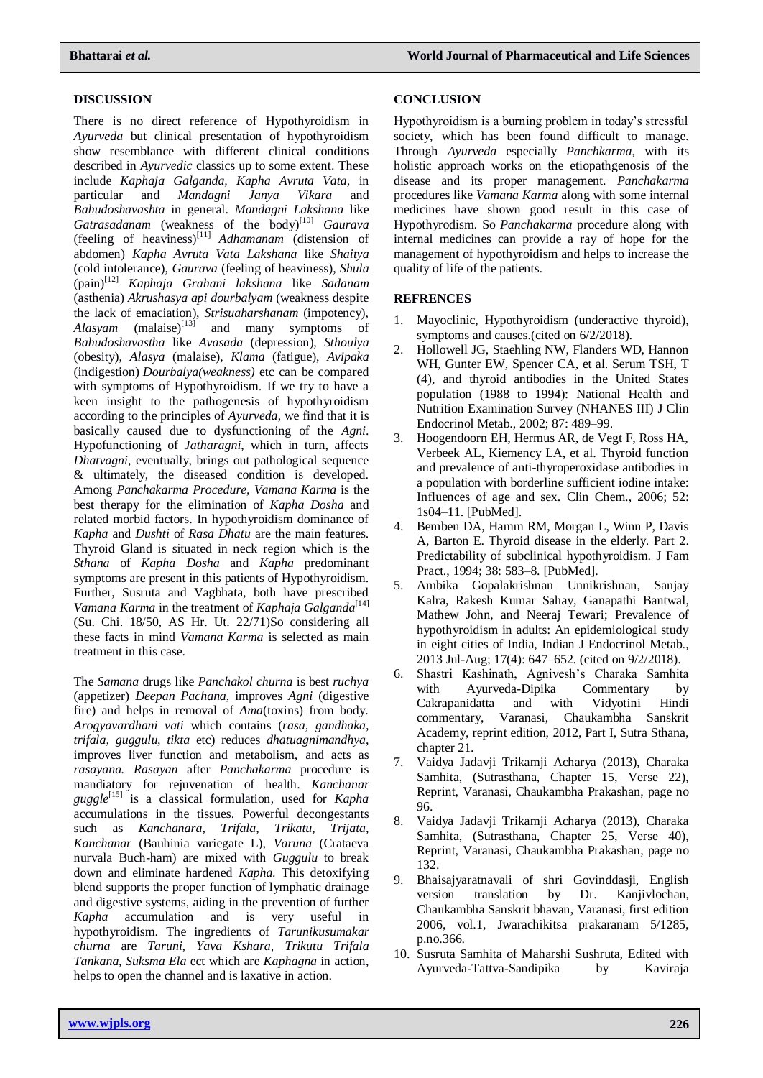## **DISCUSSION**

There is no direct reference of Hypothyroidism in *Ayurveda* but clinical presentation of hypothyroidism show resemblance with different clinical conditions described in *Ayurvedic* classics up to some extent. These include *Kaphaja Galganda, Kapha Avruta Vata,* in particular and *Mandagni Janya Vikara* and *Bahudoshavashta* in general. *Mandagni Lakshana* like *Gatrasadanam* (weakness of the body)<sup>[10]</sup> *Gaurava* (feeling of heaviness)[11] *Adhamanam* (distension of abdomen) *Kapha Avruta Vata Lakshana* like *Shaitya*  (cold intolerance), *Gaurava* (feeling of heaviness), *Shula*  (pain)[12] *Kaphaja Grahani lakshana* like *Sadanam*  (asthenia) *Akrushasya api dourbalyam* (weakness despite the lack of emaciation), *Strisuaharshanam* (impotency), *Alasyam* (malaise)<sup>[13]</sup> and many symptoms of *Bahudoshavastha* like *Avasada* (depression), *Sthoulya*  (obesity), *Alasya* (malaise), *Klama* (fatigue), *Avipaka*  (indigestion) *Dourbalya(weakness)* etc can be compared with symptoms of Hypothyroidism. If we try to have a keen insight to the pathogenesis of hypothyroidism according to the principles of *Ayurveda*, we find that it is basically caused due to dysfunctioning of the *Agni*. Hypofunctioning of *Jatharagni*, which in turn, affects *Dhatvagni*, eventually, brings out pathological sequence & ultimately, the diseased condition is developed. Among *Panchakarma Procedure, Vamana Karma* is the best therapy for the elimination of *Kapha Dosha* and related morbid factors. In hypothyroidism dominance of *Kapha* and *Dushti* of *Rasa Dhatu* are the main features. Thyroid Gland is situated in neck region which is the *Sthana* of *Kapha Dosha* and *Kapha* predominant symptoms are present in this patients of Hypothyroidism. Further, Susruta and Vagbhata, both have prescribed *Vamana Karma* in the treatment of *Kaphaja Galganda*<sup>[14]</sup> (Su. Chi. 18/50, AS Hr. Ut. 22/71)So considering all these facts in mind *Vamana Karma* is selected as main treatment in this case.

The *Samana* drugs like *Panchakol churna* is best *ruchya* (appetizer) *Deepan Pachana*, improves *Agni* (digestive fire) and helps in removal of *Ama*(toxins) from body. *Arogyavardhani vati* which contains (*rasa, gandhaka, trifala, guggulu, tikta* etc) reduces *dhatuagnimandhya*, improves liver function and metabolism, and acts as *rasayana. Rasayan* after *Panchakarma* procedure is mandiatory for rejuvenation of health. *Kanchanar guggle*[15] is a classical formulation, used for *Kapha* accumulations in the tissues. Powerful decongestants such as *Kanchanara, Trifala, Trikatu, Trijata, Kanchanar* (Bauhinia variegate L), *Varuna* (Crataeva nurvala Buch-ham) are mixed with *Guggulu* to break down and eliminate hardened *Kapha*. This detoxifying blend supports the proper function of lymphatic drainage and digestive systems, aiding in the prevention of further *Kapha* accumulation and is very useful in hypothyroidism. The ingredients of *Tarunikusumakar churna* are *Taruni, Yava Kshara, Trikutu Trifala Tankana, Suksma Ela* ect which are *Kaphagna* in action, helps to open the channel and is laxative in action.

## **CONCLUSION**

Hypothyroidism is a burning problem in today's stressful society, which has been found difficult to manage. Through *Ayurveda* especially *Panchkarma,* with its holistic approach works on the etiopathgenosis of the disease and its proper management. *Panchakarma*  procedures like *Vamana Karma* along with some internal medicines have shown good result in this case of Hypothyrodism*.* So *Panchakarma* procedure along with internal medicines can provide a ray of hope for the management of hypothyroidism and helps to increase the quality of life of the patients.

### **REFRENCES**

- 1. Mayoclinic, Hypothyroidism (underactive thyroid), symptoms and causes.(cited on 6/2/2018).
- 2. Hollowell JG, Staehling NW, Flanders WD, Hannon WH, Gunter EW, Spencer CA, et al. Serum TSH, T (4), and thyroid antibodies in the United States population (1988 to 1994): National Health and Nutrition Examination Survey (NHANES III) J Clin Endocrinol Metab., 2002; 87: 489–99.
- 3. Hoogendoorn EH, Hermus AR, de Vegt F, Ross HA, Verbeek AL, Kiemency LA, et al. Thyroid function and prevalence of anti-thyroperoxidase antibodies in a population with borderline sufficient iodine intake: Influences of age and sex. Clin Chem., 2006; 52: 1s04–11. [\[PubMed\]](http://www.ncbi.nlm.nih.gov/pubmed/16254196).
- 4. Bemben DA, Hamm RM, Morgan L, Winn P, Davis A, Barton E. Thyroid disease in the elderly. Part 2. Predictability of subclinical hypothyroidism. J Fam Pract., 1994; 38: 583–8. [\[PubMed\]](http://www.ncbi.nlm.nih.gov/pubmed/8195732).
- 5. [Ambika Gopalakrishnan Unnikrishnan,](http://www.ncbi.nlm.nih.gov/pubmed/?term=Unnikrishnan%20AG%5Bauth%5D) [Sanjay](http://www.ncbi.nlm.nih.gov/pubmed/?term=Kalra%20S%5Bauth%5D)  [Kalra,](http://www.ncbi.nlm.nih.gov/pubmed/?term=Kalra%20S%5Bauth%5D) [Rakesh Kumar Sahay,](http://www.ncbi.nlm.nih.gov/pubmed/?term=Sahay%20RK%5Bauth%5D) [Ganapathi Bantwal,](http://www.ncbi.nlm.nih.gov/pubmed/?term=Bantwal%20G%5Bauth%5D) [Mathew John,](http://www.ncbi.nlm.nih.gov/pubmed/?term=John%20M%5Bauth%5D) and [Neeraj Tewari;](http://www.ncbi.nlm.nih.gov/pubmed/?term=Tewari%20N%5Bauth%5D) Prevalence of hypothyroidism in adults: An epidemiological study in eight cities of India, Indian J Endocrinol Metab., 2013 Jul-Aug; 17(4): 647–652. (cited on 9/2/2018).
- 6. Shastri Kashinath, Agnivesh's Charaka Samhita with Ayurveda-Dipika Commentary by Cakrapanidatta and with Vidyotini Hindi commentary, Varanasi, Chaukambha Sanskrit Academy, reprint edition, 2012, Part I, Sutra Sthana, chapter 21.
- 7. Vaidya Jadavji Trikamji Acharya (2013), Charaka Samhita, (Sutrasthana, Chapter 15, Verse 22), Reprint, Varanasi, Chaukambha Prakashan, page no 96.
- 8. Vaidya Jadavji Trikamji Acharya (2013), Charaka Samhita, (Sutrasthana, Chapter 25, Verse 40), Reprint, Varanasi, Chaukambha Prakashan, page no 132.
- 9. Bhaisajyaratnavali of shri Govinddasji, English version translation by Dr. Kanjivlochan, Chaukambha Sanskrit bhavan, Varanasi, first edition 2006, vol.1, Jwarachikitsa prakaranam 5/1285, p.no.366.
- 10. Susruta Samhita of Maharshi Sushruta, Edited with Ayurveda-Tattva-Sandipika by Kaviraja